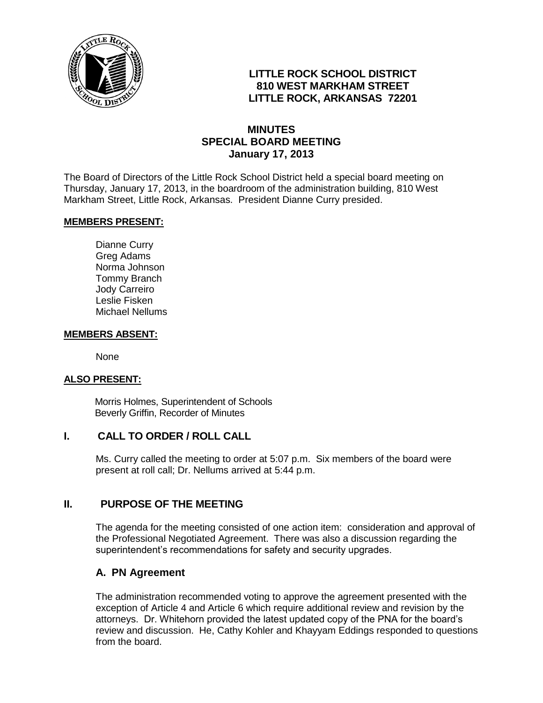

# **LITTLE ROCK SCHOOL DISTRICT 810 WEST MARKHAM STREET LITTLE ROCK, ARKANSAS 72201**

## **MINUTES SPECIAL BOARD MEETING January 17, 2013**

The Board of Directors of the Little Rock School District held a special board meeting on Thursday, January 17, 2013, in the boardroom of the administration building, 810 West Markham Street, Little Rock, Arkansas. President Dianne Curry presided.

### **MEMBERS PRESENT:**

Dianne Curry Greg Adams Norma Johnson Tommy Branch Jody Carreiro Leslie Fisken Michael Nellums

#### **MEMBERS ABSENT:**

None

#### **ALSO PRESENT:**

 Morris Holmes, Superintendent of Schools Beverly Griffin, Recorder of Minutes

### **I. CALL TO ORDER / ROLL CALL**

Ms. Curry called the meeting to order at 5:07 p.m. Six members of the board were present at roll call; Dr. Nellums arrived at 5:44 p.m.

### **II. PURPOSE OF THE MEETING**

The agenda for the meeting consisted of one action item: consideration and approval of the Professional Negotiated Agreement. There was also a discussion regarding the superintendent's recommendations for safety and security upgrades.

## **A. PN Agreement**

The administration recommended voting to approve the agreement presented with the exception of Article 4 and Article 6 which require additional review and revision by the attorneys. Dr. Whitehorn provided the latest updated copy of the PNA for the board's review and discussion. He, Cathy Kohler and Khayyam Eddings responded to questions from the board.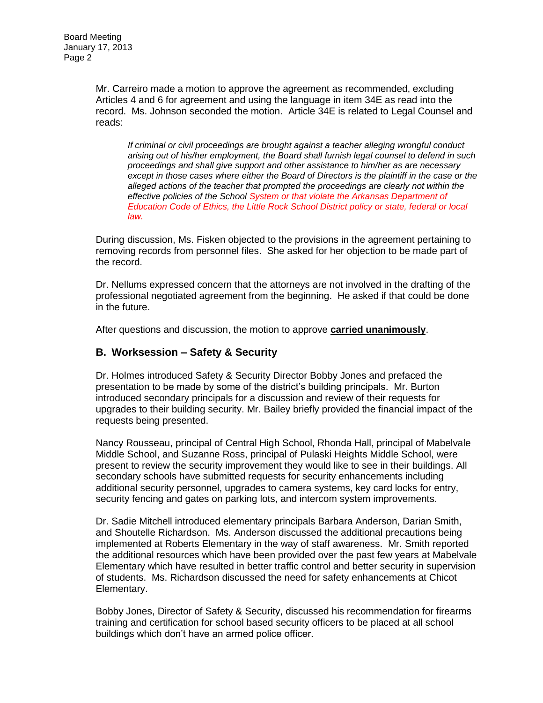Mr. Carreiro made a motion to approve the agreement as recommended, excluding Articles 4 and 6 for agreement and using the language in item 34E as read into the record. Ms. Johnson seconded the motion. Article 34E is related to Legal Counsel and reads:

*If criminal or civil proceedings are brought against a teacher alleging wrongful conduct arising out of his/her employment, the Board shall furnish legal counsel to defend in such proceedings and shall give support and other assistance to him/her as are necessary except in those cases where either the Board of Directors is the plaintiff in the case or the alleged actions of the teacher that prompted the proceedings are clearly not within the effective policies of the School System or that violate the Arkansas Department of Education Code of Ethics, the Little Rock School District policy or state, federal or local law.*

During discussion, Ms. Fisken objected to the provisions in the agreement pertaining to removing records from personnel files. She asked for her objection to be made part of the record.

Dr. Nellums expressed concern that the attorneys are not involved in the drafting of the professional negotiated agreement from the beginning. He asked if that could be done in the future.

After questions and discussion, the motion to approve **carried unanimously**.

### **B. Worksession – Safety & Security**

Dr. Holmes introduced Safety & Security Director Bobby Jones and prefaced the presentation to be made by some of the district's building principals. Mr. Burton introduced secondary principals for a discussion and review of their requests for upgrades to their building security. Mr. Bailey briefly provided the financial impact of the requests being presented.

Nancy Rousseau, principal of Central High School, Rhonda Hall, principal of Mabelvale Middle School, and Suzanne Ross, principal of Pulaski Heights Middle School, were present to review the security improvement they would like to see in their buildings. All secondary schools have submitted requests for security enhancements including additional security personnel, upgrades to camera systems, key card locks for entry, security fencing and gates on parking lots, and intercom system improvements.

Dr. Sadie Mitchell introduced elementary principals Barbara Anderson, Darian Smith, and Shoutelle Richardson. Ms. Anderson discussed the additional precautions being implemented at Roberts Elementary in the way of staff awareness. Mr. Smith reported the additional resources which have been provided over the past few years at Mabelvale Elementary which have resulted in better traffic control and better security in supervision of students. Ms. Richardson discussed the need for safety enhancements at Chicot Elementary.

Bobby Jones, Director of Safety & Security, discussed his recommendation for firearms training and certification for school based security officers to be placed at all school buildings which don't have an armed police officer.